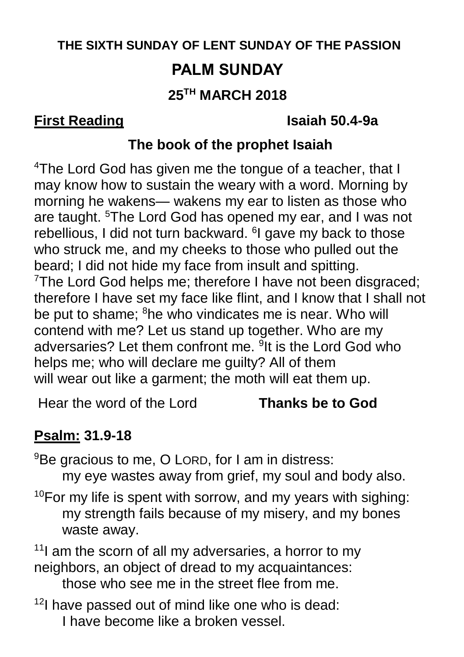# **THE SIXTH SUNDAY OF LENT SUNDAY OF THE PASSION PALM SUNDAY 25TH MARCH 2018**

#### **First Reading Isaiah 50.4-9a**

### **The book of the prophet Isaiah**

<sup>4</sup>The Lord God has given me the tongue of a teacher, that I may know how to sustain the weary with a word. Morning by morning he wakens— wakens my ear to listen as those who are taught. <sup>5</sup>The Lord God has opened my ear, and I was not rebellious, I did not turn backward. <sup>6</sup>I gave my back to those who struck me, and my cheeks to those who pulled out the beard; I did not hide my face from insult and spitting. <sup>7</sup>The Lord God helps me; therefore I have not been disgraced; therefore I have set my face like flint, and I know that I shall not be put to shame; <sup>8</sup>he who vindicates me is near. Who will contend with me? Let us stand up together. Who are my adversaries? Let them confront me. <sup>9</sup>It is the Lord God who helps me; who will declare me guilty? All of them will wear out like a garment; the moth will eat them up.

Hear the word of the Lord **Thanks be to God**

# **Psalm: 31.9-18**

<sup>9</sup>Be gracious to me, O LORD, for I am in distress:

my eye wastes away from grief, my soul and body also.

 $10$ For my life is spent with sorrow, and my years with sighing: my strength fails because of my misery, and my bones waste away.

 $11$  am the scorn of all my adversaries, a horror to my neighbors, an object of dread to my acquaintances:

those who see me in the street flee from me.

 $12$ I have passed out of mind like one who is dead: I have become like a broken vessel.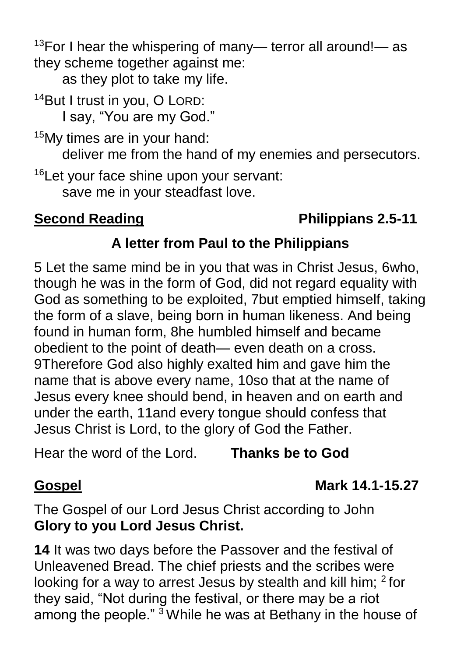<sup>13</sup>For I hear the whispering of many— terror all around!— as they scheme together against me:

as they plot to take my life.

<sup>14</sup>But I trust in you, O LORD: I say, "You are my God."

<sup>15</sup>My times are in your hand:

deliver me from the hand of my enemies and persecutors.

<sup>16</sup>Let your face shine upon your servant: save me in your steadfast love.

## **Second Reading Constraining Constraining Philippians 2.5-11**

### **A letter from Paul to the Philippians**

5 Let the same mind be in you that was in Christ Jesus, 6who, though he was in the form of God, did not regard equality with God as something to be exploited, 7but emptied himself, taking the form of a slave, being born in human likeness. And being found in human form, 8he humbled himself and became obedient to the point of death— even death on a cross. 9Therefore God also highly exalted him and gave him the name that is above every name, 10so that at the name of Jesus every knee should bend, in heaven and on earth and under the earth, 11and every tongue should confess that Jesus Christ is Lord, to the glory of God the Father.

Hear the word of the Lord. **Thanks be to God**

# **Gospel Mark 14.1-15.27**

The Gospel of our Lord Jesus Christ according to John **Glory to you Lord Jesus Christ.**

**14** It was two days before the Passover and the festival of Unleavened Bread. The chief priests and the scribes were looking for a way to arrest Jesus by stealth and kill him; <sup>2</sup> for they said, "Not during the festival, or there may be a riot among the people." <sup>3</sup> While he was at Bethany in the house of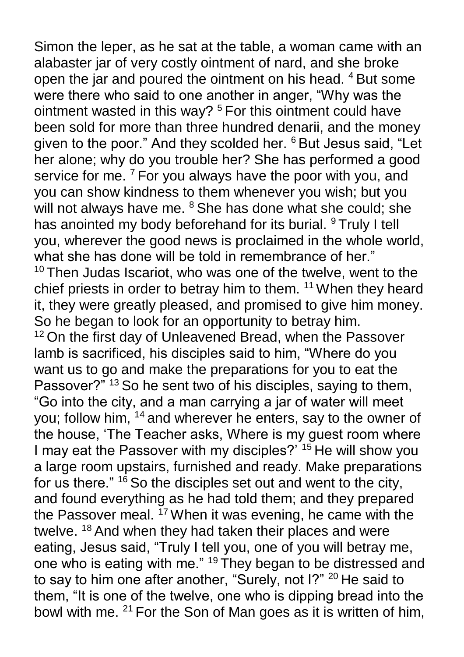Simon the leper, as he sat at the table, a woman came with an alabaster jar of very costly ointment of nard, and she broke open the jar and poured the ointment on his head. <sup>4</sup> But some were there who said to one another in anger, "Why was the ointment wasted in this way? <sup>5</sup> For this ointment could have been sold for more than three hundred denarii, and the money given to the poor." And they scolded her. <sup>6</sup> But Jesus said, "Let her alone; why do you trouble her? She has performed a good service for me. <sup>7</sup> For you always have the poor with you, and you can show kindness to them whenever you wish; but you will not always have me. <sup>8</sup> She has done what she could; she has anointed my body beforehand for its burial. <sup>9</sup> Truly I tell you, wherever the good news is proclaimed in the whole world, what she has done will be told in remembrance of her."  $10$  Then Judas Iscariot, who was one of the twelve, went to the chief priests in order to betray him to them. <sup>11</sup> When they heard it, they were greatly pleased, and promised to give him money. So he began to look for an opportunity to betray him. <sup>12</sup> On the first day of Unleavened Bread, when the Passover lamb is sacrificed, his disciples said to him, "Where do you want us to go and make the preparations for you to eat the Passover?" <sup>13</sup> So he sent two of his disciples, saying to them, "Go into the city, and a man carrying a jar of water will meet you; follow him, <sup>14</sup> and wherever he enters, say to the owner of the house, 'The Teacher asks, Where is my guest room where I may eat the Passover with my disciples?<sup>" 15</sup> He will show you a large room upstairs, furnished and ready. Make preparations for us there." <sup>16</sup> So the disciples set out and went to the city, and found everything as he had told them; and they prepared the Passover meal.  $17$  When it was evening, he came with the twelve. <sup>18</sup> And when they had taken their places and were eating, Jesus said, "Truly I tell you, one of you will betray me, one who is eating with me." <sup>19</sup> They began to be distressed and to say to him one after another, "Surely, not I?" <sup>20</sup> He said to them, "It is one of the twelve, one who is dipping bread into the bowl with me. <sup>21</sup> For the Son of Man goes as it is written of him,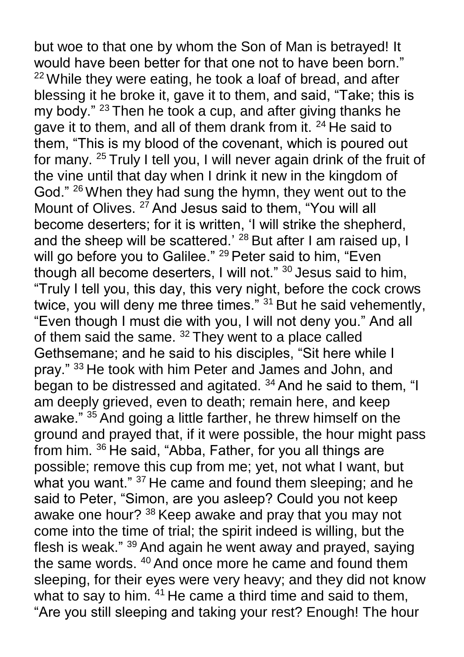but woe to that one by whom the Son of Man is betrayed! It would have been better for that one not to have been born."  $22$  While they were eating, he took a loaf of bread, and after blessing it he broke it, gave it to them, and said, "Take; this is my body." <sup>23</sup> Then he took a cup, and after giving thanks he gave it to them, and all of them drank from it. <sup>24</sup> He said to them, "This is my blood of the covenant, which is poured out for many. <sup>25</sup> Truly I tell you, I will never again drink of the fruit of the vine until that day when I drink it new in the kingdom of God." <sup>26</sup> When they had sung the hymn, they went out to the Mount of Olives. <sup>27</sup> And Jesus said to them, "You will all become deserters; for it is written, 'I will strike the shepherd, and the sheep will be scattered.' <sup>28</sup> But after I am raised up. I will go before you to Galilee." <sup>29</sup> Peter said to him, "Even though all become deserters, I will not." <sup>30</sup> Jesus said to him, "Truly I tell you, this day, this very night, before the cock crows twice, you will deny me three times." <sup>31</sup> But he said vehemently, "Even though I must die with you, I will not deny you." And all of them said the same. <sup>32</sup> They went to a place called Gethsemane; and he said to his disciples, "Sit here while I pray." <sup>33</sup> He took with him Peter and James and John, and began to be distressed and agitated. <sup>34</sup> And he said to them, "I am deeply grieved, even to death; remain here, and keep awake." <sup>35</sup> And going a little farther, he threw himself on the ground and prayed that, if it were possible, the hour might pass from him. <sup>36</sup> He said, "Abba, Father, for you all things are possible; remove this cup from me; yet, not what I want, but what you want." <sup>37</sup> He came and found them sleeping; and he said to Peter, "Simon, are you asleep? Could you not keep awake one hour? <sup>38</sup> Keep awake and pray that you may not come into the time of trial; the spirit indeed is willing, but the flesh is weak." <sup>39</sup> And again he went away and prayed, saying the same words. <sup>40</sup> And once more he came and found them sleeping, for their eyes were very heavy; and they did not know what to say to him. <sup>41</sup> He came a third time and said to them, "Are you still sleeping and taking your rest? Enough! The hour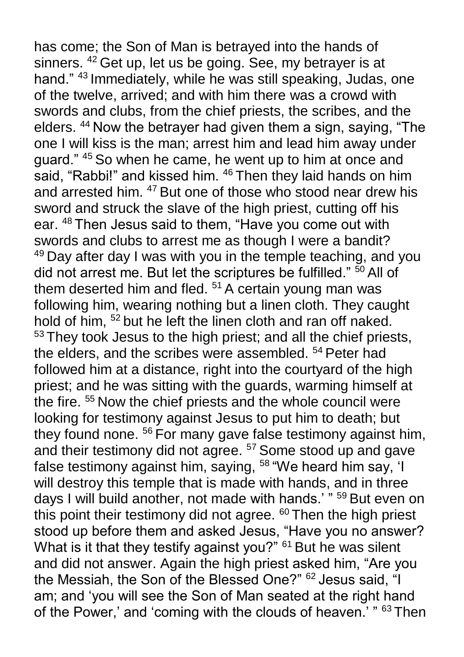has come; the Son of Man is betrayed into the hands of sinners. <sup>42</sup> Get up, let us be going. See, my betrayer is at hand." <sup>43</sup> Immediately, while he was still speaking, Judas, one of the twelve, arrived; and with him there was a crowd with swords and clubs, from the chief priests, the scribes, and the elders. <sup>44</sup> Now the betrayer had given them a sign, saying, "The one I will kiss is the man; arrest him and lead him away under guard." <sup>45</sup> So when he came, he went up to him at once and said, "Rabbi!" and kissed him. <sup>46</sup> Then they laid hands on him and arrested him. <sup>47</sup> But one of those who stood near drew his sword and struck the slave of the high priest, cutting off his ear. <sup>48</sup> Then Jesus said to them, "Have you come out with swords and clubs to arrest me as though I were a bandit? <sup>49</sup> Day after day I was with you in the temple teaching, and you did not arrest me. But let the scriptures be fulfilled."  $\frac{50}{50}$  All of them deserted him and fled.  $51$  A certain young man was following him, wearing nothing but a linen cloth. They caught hold of him, <sup>52</sup> but he left the linen cloth and ran off naked. <sup>53</sup> They took Jesus to the high priest; and all the chief priests, the elders, and the scribes were assembled. <sup>54</sup> Peter had followed him at a distance, right into the courtyard of the high priest; and he was sitting with the guards, warming himself at the fire. <sup>55</sup> Now the chief priests and the whole council were looking for testimony against Jesus to put him to death; but they found none. <sup>56</sup> For many gave false testimony against him, and their testimony did not agree. <sup>57</sup> Some stood up and gave false testimony against him, saying, <sup>58</sup> "We heard him say, 'I will destroy this temple that is made with hands, and in three days I will build another, not made with hands.' " <sup>59</sup> But even on this point their testimony did not agree. <sup>60</sup> Then the high priest stood up before them and asked Jesus, "Have you no answer? What is it that they testify against you?" <sup>61</sup> But he was silent and did not answer. Again the high priest asked him, "Are you the Messiah, the Son of the Blessed One?" <sup>62</sup> Jesus said, "I am; and 'you will see the Son of Man seated at the right hand of the Power,' and 'coming with the clouds of heaven.' " 63 Then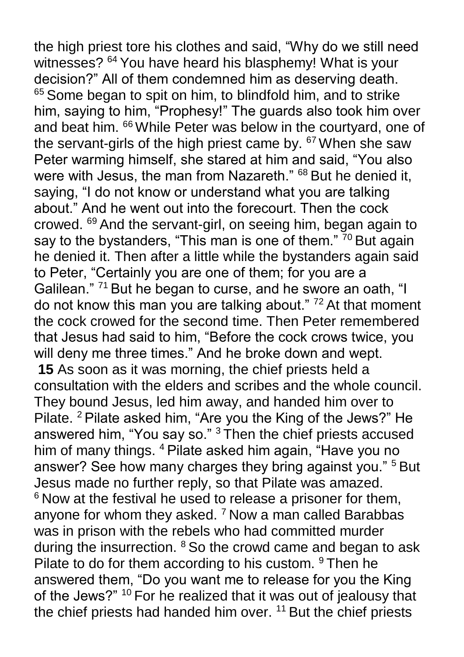the high priest tore his clothes and said, "Why do we still need witnesses?  $64$  You have heard his blasphemy! What is your decision?" All of them condemned him as deserving death. <sup>65</sup> Some began to spit on him, to blindfold him, and to strike him, saying to him, "Prophesy!" The guards also took him over and beat him. <sup>66</sup> While Peter was below in the courtyard, one of the servant-girls of the high priest came by. <sup>67</sup> When she saw Peter warming himself, she stared at him and said, "You also were with Jesus, the man from Nazareth." <sup>68</sup> But he denied it, saying, "I do not know or understand what you are talking about." And he went out into the forecourt. Then the cock crowed. <sup>69</sup> And the servant-girl, on seeing him, began again to say to the bystanders, "This man is one of them." <sup>70</sup> But again he denied it. Then after a little while the bystanders again said to Peter, "Certainly you are one of them; for you are a Galilean."<sup>71</sup> But he began to curse, and he swore an oath, "I do not know this man you are talking about." <sup>72</sup> At that moment the cock crowed for the second time. Then Peter remembered that Jesus had said to him, "Before the cock crows twice, you will deny me three times." And he broke down and wept. **15** As soon as it was morning, the chief priests held a consultation with the elders and scribes and the whole council. They bound Jesus, led him away, and handed him over to Pilate. <sup>2</sup> Pilate asked him, "Are you the King of the Jews?" He answered him, "You say so." <sup>3</sup> Then the chief priests accused him of many things. <sup>4</sup> Pilate asked him again, "Have you no answer? See how many charges they bring against you." <sup>5</sup> But Jesus made no further reply, so that Pilate was amazed. <sup>6</sup> Now at the festival he used to release a prisoner for them, anyone for whom they asked. <sup>7</sup> Now a man called Barabbas was in prison with the rebels who had committed murder during the insurrection. <sup>8</sup> So the crowd came and began to ask Pilate to do for them according to his custom. <sup>9</sup> Then he answered them, "Do you want me to release for you the King of the Jews?" <sup>10</sup> For he realized that it was out of jealousy that the chief priests had handed him over.  $11$  But the chief priests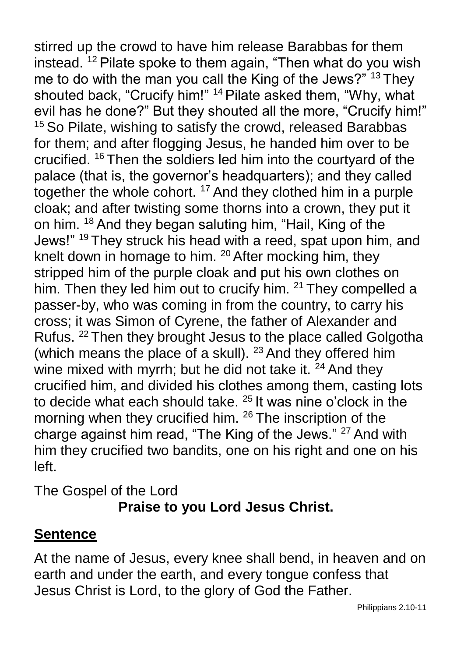stirred up the crowd to have him release Barabbas for them instead. <sup>12</sup> Pilate spoke to them again, "Then what do you wish me to do with the man you call the King of the Jews?"<sup>13</sup> They shouted back, "Crucify him!" <sup>14</sup> Pilate asked them, "Why, what evil has he done?" But they shouted all the more, "Crucify him!" <sup>15</sup> So Pilate, wishing to satisfy the crowd, released Barabbas for them; and after flogging Jesus, he handed him over to be crucified. <sup>16</sup> Then the soldiers led him into the courtyard of the palace (that is, the governor's headquarters); and they called together the whole cohort. <sup>17</sup> And they clothed him in a purple cloak; and after twisting some thorns into a crown, they put it on him. <sup>18</sup> And they began saluting him, "Hail, King of the Jews!" <sup>19</sup> They struck his head with a reed, spat upon him, and knelt down in homage to him. <sup>20</sup> After mocking him, they stripped him of the purple cloak and put his own clothes on him. Then they led him out to crucify him. <sup>21</sup> They compelled a passer-by, who was coming in from the country, to carry his cross; it was Simon of Cyrene, the father of Alexander and Rufus. <sup>22</sup> Then they brought Jesus to the place called Golgotha (which means the place of a skull).  $23$  And they offered him wine mixed with myrrh; but he did not take it.  $24$  And they crucified him, and divided his clothes among them, casting lots to decide what each should take. <sup>25</sup> It was nine o'clock in the morning when they crucified him. <sup>26</sup> The inscription of the charge against him read, "The King of the Jews." <sup>27</sup> And with him they crucified two bandits, one on his right and one on his left.

The Gospel of the Lord **Praise to you Lord Jesus Christ.**

### **Sentence**

At the name of Jesus, every knee shall bend, in heaven and on earth and under the earth, and every tongue confess that Jesus Christ is Lord, to the glory of God the Father.

Philippians 2.10-11